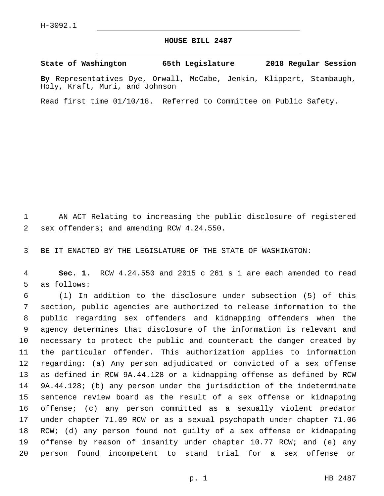## **HOUSE BILL 2487**

**State of Washington 65th Legislature 2018 Regular Session**

**By** Representatives Dye, Orwall, McCabe, Jenkin, Klippert, Stambaugh, Holy, Kraft, Muri, and Johnson

Read first time 01/10/18. Referred to Committee on Public Safety.

 AN ACT Relating to increasing the public disclosure of registered 2 sex offenders; and amending RCW 4.24.550.

BE IT ENACTED BY THE LEGISLATURE OF THE STATE OF WASHINGTON:

 **Sec. 1.** RCW 4.24.550 and 2015 c 261 s 1 are each amended to read 5 as follows:

 (1) In addition to the disclosure under subsection (5) of this section, public agencies are authorized to release information to the public regarding sex offenders and kidnapping offenders when the agency determines that disclosure of the information is relevant and necessary to protect the public and counteract the danger created by the particular offender. This authorization applies to information regarding: (a) Any person adjudicated or convicted of a sex offense as defined in RCW 9A.44.128 or a kidnapping offense as defined by RCW 9A.44.128; (b) any person under the jurisdiction of the indeterminate sentence review board as the result of a sex offense or kidnapping offense; (c) any person committed as a sexually violent predator under chapter 71.09 RCW or as a sexual psychopath under chapter 71.06 RCW; (d) any person found not guilty of a sex offense or kidnapping offense by reason of insanity under chapter 10.77 RCW; and (e) any person found incompetent to stand trial for a sex offense or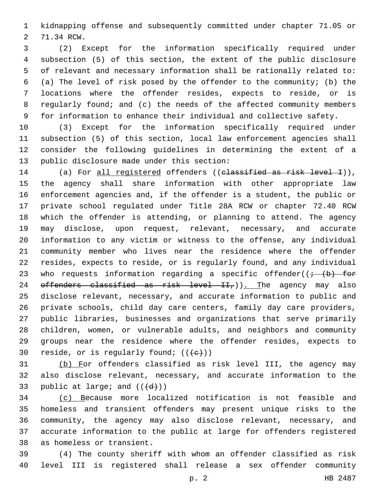kidnapping offense and subsequently committed under chapter 71.05 or 2 71.34 RCW.

 (2) Except for the information specifically required under subsection (5) of this section, the extent of the public disclosure of relevant and necessary information shall be rationally related to: (a) The level of risk posed by the offender to the community; (b) the locations where the offender resides, expects to reside, or is regularly found; and (c) the needs of the affected community members for information to enhance their individual and collective safety.

 (3) Except for the information specifically required under subsection (5) of this section, local law enforcement agencies shall consider the following guidelines in determining the extent of a 13 public disclosure made under this section:

14 (a) For all registered offenders ((classified as risk level I)), the agency shall share information with other appropriate law enforcement agencies and, if the offender is a student, the public or private school regulated under Title 28A RCW or chapter 72.40 RCW which the offender is attending, or planning to attend. The agency may disclose, upon request, relevant, necessary, and accurate information to any victim or witness to the offense, any individual community member who lives near the residence where the offender resides, expects to reside, or is regularly found, and any individual 23 who requests information regarding a specific offender( $(+$   $(b)$  for  $\sigma$  effenders classified as risk level  $II<sub>T</sub>$ )). The agency may also disclose relevant, necessary, and accurate information to public and private schools, child day care centers, family day care providers, public libraries, businesses and organizations that serve primarily children, women, or vulnerable adults, and neighbors and community groups near the residence where the offender resides, expects to 30 reside, or is regularly found;  $((e))$ 

 (b) For offenders classified as risk level III, the agency may also disclose relevant, necessary, and accurate information to the 33 public at large; and  $((\{d\})$ )

 (c) Because more localized notification is not feasible and homeless and transient offenders may present unique risks to the community, the agency may also disclose relevant, necessary, and accurate information to the public at large for offenders registered 38 as homeless or transient.

 (4) The county sheriff with whom an offender classified as risk level III is registered shall release a sex offender community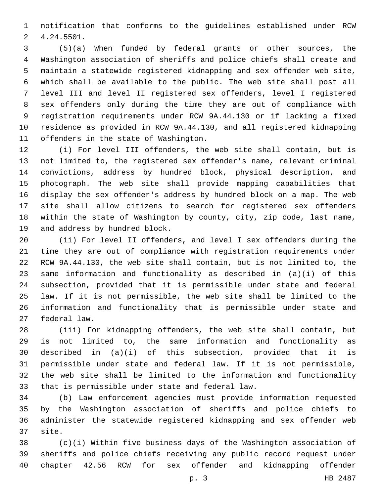notification that conforms to the guidelines established under RCW 4.24.5501.2

 (5)(a) When funded by federal grants or other sources, the Washington association of sheriffs and police chiefs shall create and maintain a statewide registered kidnapping and sex offender web site, which shall be available to the public. The web site shall post all level III and level II registered sex offenders, level I registered sex offenders only during the time they are out of compliance with registration requirements under RCW 9A.44.130 or if lacking a fixed residence as provided in RCW 9A.44.130, and all registered kidnapping 11 offenders in the state of Washington.

 (i) For level III offenders, the web site shall contain, but is not limited to, the registered sex offender's name, relevant criminal convictions, address by hundred block, physical description, and photograph. The web site shall provide mapping capabilities that display the sex offender's address by hundred block on a map. The web site shall allow citizens to search for registered sex offenders within the state of Washington by county, city, zip code, last name, 19 and address by hundred block.

 (ii) For level II offenders, and level I sex offenders during the time they are out of compliance with registration requirements under RCW 9A.44.130, the web site shall contain, but is not limited to, the same information and functionality as described in (a)(i) of this subsection, provided that it is permissible under state and federal law. If it is not permissible, the web site shall be limited to the information and functionality that is permissible under state and 27 federal law.

 (iii) For kidnapping offenders, the web site shall contain, but is not limited to, the same information and functionality as described in (a)(i) of this subsection, provided that it is permissible under state and federal law. If it is not permissible, the web site shall be limited to the information and functionality 33 that is permissible under state and federal law.

 (b) Law enforcement agencies must provide information requested by the Washington association of sheriffs and police chiefs to administer the statewide registered kidnapping and sex offender web 37 site.

 (c)(i) Within five business days of the Washington association of sheriffs and police chiefs receiving any public record request under chapter 42.56 RCW for sex offender and kidnapping offender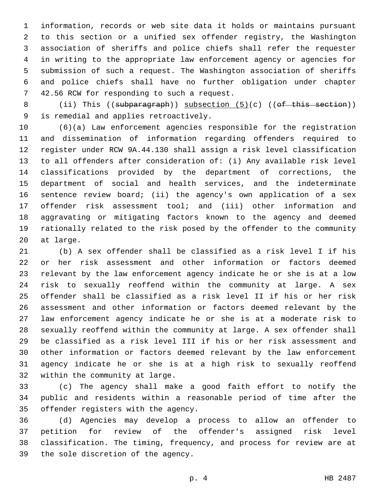information, records or web site data it holds or maintains pursuant to this section or a unified sex offender registry, the Washington association of sheriffs and police chiefs shall refer the requester in writing to the appropriate law enforcement agency or agencies for submission of such a request. The Washington association of sheriffs and police chiefs shall have no further obligation under chapter 7 42.56 RCW for responding to such a request.

8 (ii) This ((subparagraph)) subsection (5)(c) ((of this section)) 9 is remedial and applies retroactively.

 (6)(a) Law enforcement agencies responsible for the registration and dissemination of information regarding offenders required to register under RCW 9A.44.130 shall assign a risk level classification to all offenders after consideration of: (i) Any available risk level classifications provided by the department of corrections, the department of social and health services, and the indeterminate sentence review board; (ii) the agency's own application of a sex offender risk assessment tool; and (iii) other information and aggravating or mitigating factors known to the agency and deemed rationally related to the risk posed by the offender to the community 20 at large.

 (b) A sex offender shall be classified as a risk level I if his or her risk assessment and other information or factors deemed relevant by the law enforcement agency indicate he or she is at a low risk to sexually reoffend within the community at large. A sex offender shall be classified as a risk level II if his or her risk assessment and other information or factors deemed relevant by the law enforcement agency indicate he or she is at a moderate risk to sexually reoffend within the community at large. A sex offender shall be classified as a risk level III if his or her risk assessment and other information or factors deemed relevant by the law enforcement agency indicate he or she is at a high risk to sexually reoffend 32 within the community at large.

 (c) The agency shall make a good faith effort to notify the public and residents within a reasonable period of time after the 35 offender registers with the agency.

 (d) Agencies may develop a process to allow an offender to petition for review of the offender's assigned risk level classification. The timing, frequency, and process for review are at 39 the sole discretion of the agency.